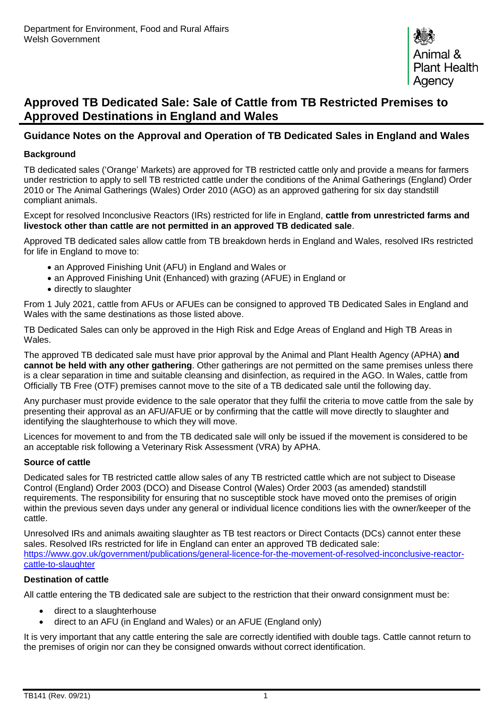# **Approved TB Dedicated Sale: Sale of Cattle from TB Restricted Premises to Approved Destinations in England and Wales**

# **Guidance Notes on the Approval and Operation of TB Dedicated Sales in England and Wales**

### **Background**

TB dedicated sales ('Orange' Markets) are approved for TB restricted cattle only and provide a means for farmers under restriction to apply to sell TB restricted cattle under the conditions of the Animal Gatherings (England) Order 2010 or The Animal Gatherings (Wales) Order 2010 (AGO) as an approved gathering for six day standstill compliant animals.

Except for resolved Inconclusive Reactors (IRs) restricted for life in England, **cattle from unrestricted farms and livestock other than cattle are not permitted in an approved TB dedicated sale**.

Approved TB dedicated sales allow cattle from TB breakdown herds in England and Wales, resolved IRs restricted for life in England to move to:

- an Approved Finishing Unit (AFU) in England and Wales or
- an Approved Finishing Unit (Enhanced) with grazing (AFUE) in England or
- directly to slaughter

From 1 July 2021, cattle from AFUs or AFUEs can be consigned to approved TB Dedicated Sales in England and Wales with the same destinations as those listed above.

TB Dedicated Sales can only be approved in the High Risk and Edge Areas of England and High TB Areas in **Wales** 

The approved TB dedicated sale must have prior approval by the Animal and Plant Health Agency (APHA) **and cannot be held with any other gathering**. Other gatherings are not permitted on the same premises unless there is a clear separation in time and suitable cleansing and disinfection, as required in the AGO. In Wales, cattle from Officially TB Free (OTF) premises cannot move to the site of a TB dedicated sale until the following day.

Any purchaser must provide evidence to the sale operator that they fulfil the criteria to move cattle from the sale by presenting their approval as an AFU/AFUE or by confirming that the cattle will move directly to slaughter and identifying the slaughterhouse to which they will move.

Licences for movement to and from the TB dedicated sale will only be issued if the movement is considered to be an acceptable risk following a Veterinary Risk Assessment (VRA) by APHA.

### **Source of cattle**

Dedicated sales for TB restricted cattle allow sales of any TB restricted cattle which are not subject to Disease Control (England) Order 2003 (DCO) and Disease Control (Wales) Order 2003 (as amended) standstill requirements. The responsibility for ensuring that no susceptible stock have moved onto the premises of origin within the previous seven days under any general or individual licence conditions lies with the owner/keeper of the cattle.

Unresolved IRs and animals awaiting slaughter as TB test reactors or Direct Contacts (DCs) cannot enter these sales. Resolved IRs restricted for life in England can enter an approved TB dedicated sale: [https://www.gov.uk/government/publications/general-licence-for-the-movement-of-resolved-inconclusive-reactor](https://www.gov.uk/government/publications/general-licence-for-the-movement-of-resolved-inconclusive-reactor-cattle-to-slaughter)[cattle-to-slaughter](https://www.gov.uk/government/publications/general-licence-for-the-movement-of-resolved-inconclusive-reactor-cattle-to-slaughter)

### **Destination of cattle**

All cattle entering the TB dedicated sale are subject to the restriction that their onward consignment must be:

- direct to a slaughterhouse
- direct to an AFU (in England and Wales) or an AFUE (England only)

It is very important that any cattle entering the sale are correctly identified with double tags. Cattle cannot return to the premises of origin nor can they be consigned onwards without correct identification.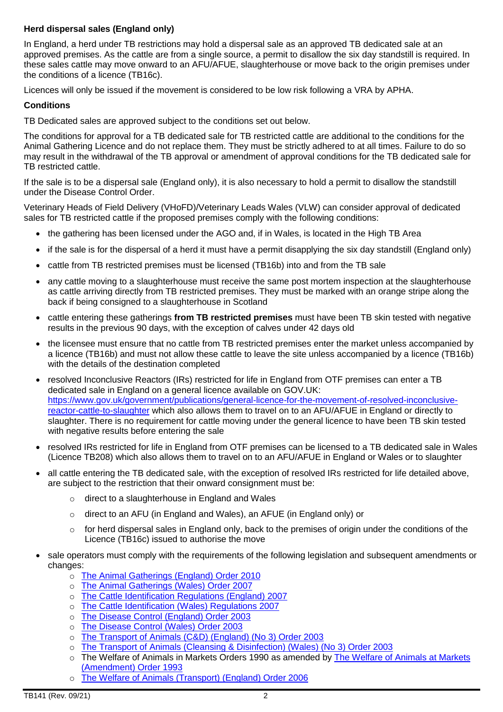### **Herd dispersal sales (England only)**

In England, a herd under TB restrictions may hold a dispersal sale as an approved TB dedicated sale at an approved premises. As the cattle are from a single source, a permit to disallow the six day standstill is required. In these sales cattle may move onward to an AFU/AFUE, slaughterhouse or move back to the origin premises under the conditions of a licence (TB16c).

Licences will only be issued if the movement is considered to be low risk following a VRA by APHA.

### **Conditions**

TB Dedicated sales are approved subject to the conditions set out below.

The conditions for approval for a TB dedicated sale for TB restricted cattle are additional to the conditions for the Animal Gathering Licence and do not replace them. They must be strictly adhered to at all times. Failure to do so may result in the withdrawal of the TB approval or amendment of approval conditions for the TB dedicated sale for TB restricted cattle.

If the sale is to be a dispersal sale (England only), it is also necessary to hold a permit to disallow the standstill under the Disease Control Order.

Veterinary Heads of Field Delivery (VHoFD)/Veterinary Leads Wales (VLW) can consider approval of dedicated sales for TB restricted cattle if the proposed premises comply with the following conditions:

- the gathering has been licensed under the AGO and, if in Wales, is located in the High TB Area
- if the sale is for the dispersal of a herd it must have a permit disapplying the six day standstill (England only)
- cattle from TB restricted premises must be licensed (TB16b) into and from the TB sale
- any cattle moving to a slaughterhouse must receive the same post mortem inspection at the slaughterhouse as cattle arriving directly from TB restricted premises. They must be marked with an orange stripe along the back if being consigned to a slaughterhouse in Scotland
- cattle entering these gatherings **from TB restricted premises** must have been TB skin tested with negative results in the previous 90 days, with the exception of calves under 42 days old
- the licensee must ensure that no cattle from TB restricted premises enter the market unless accompanied by a licence (TB16b) and must not allow these cattle to leave the site unless accompanied by a licence (TB16b) with the details of the destination completed
- resolved Inconclusive Reactors (IRs) restricted for life in England from OTF premises can enter a TB dedicated sale in England on a general licence available on GOV.UK: https://www.gov.uk/government/publications/general-licence-for-the-movement-of-resolved-inconclusivereactor-cattle-to-slaughter which also allows them to travel on to an AFU/AFUE in England or directly to slaughter. There is no requirement for cattle moving under the general licence to have been TB skin tested with negative results before entering the sale
- resolved IRs restricted for life in England from OTF premises can be licensed to a TB dedicated sale in Wales (Licence TB208) which also allows them to travel on to an AFU/AFUE in England or Wales or to slaughter
- all cattle entering the TB dedicated sale, with the exception of resolved IRs restricted for life detailed above, are subject to the restriction that their onward consignment must be:
	- o direct to a slaughterhouse in England and Wales
	- o direct to an AFU (in England and Wales), an AFUE (in England only) or
	- $\circ$  for herd dispersal sales in England only, back to the premises of origin under the conditions of the Licence (TB16c) issued to authorise the move
- sale operators must comply with the requirements of the following legislation and subsequent amendments or changes:
	- o [The Animal Gatherings \(England\) Order 2010](http://www.opsi.gov.uk/si/si2010/uksi_20100460_en_1)
	- o [The Animal Gatherings \(Wales\) Order 2007](http://www.opsi.gov.uk/legislation/wales/wsi2007/wsi_20072425_en_1)
	- o [The Cattle Identification Regulations \(England\) 2007](https://www.legislation.gov.uk/uksi/2007/529/regulation/1/made)
	- o [The Cattle Identification \(Wales\) Regulations 2007](https://www.legislation.gov.uk/wsi/2007/842/contents/made)
	- o [The Disease Control \(England\) Order 2003](http://www.opsi.gov.uk/si/si2003/20031729.htm)
	- o [The Disease Control \(Wales\) Order 2003](http://www.opsi.gov.uk/legislation/wales/wsi2003/20031966e.htm)
	- o [The Transport of Animals \(C&D\) \(England\) \(No 3\) Order 2003](http://intranet/v1p3r/opsman/content/chp62/legislation.html)
	- o [The Transport of Animals \(Cleansing & Disinfection\) \(Wales\) \(No 3\) Order 2003](http://www.opsi.gov.uk/legislation/wales/wsi2003/20031968e.htm)
	- o The Welfare of Animals in Markets Orders 1990 as amended by The Welfare of Animals at Markets [\(Amendment\) Order 1993](http://www.opsi.gov.uk/si/si1993/Uksi_19933085_en_1.htm)
	- o [The Welfare of Animals \(Transport\) \(England\) Order 2006](http://www.opsi.gov.uk/SI/si2006/20063260.htm)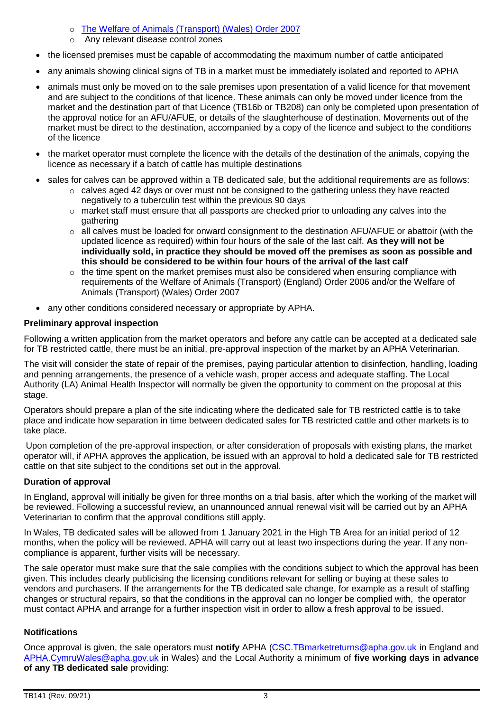- o [The Welfare of Animals \(Transport\) \(Wales\) Order 2007](http://www.opsi.gov.uk/legislation/wales/wsi2007/wsi_20071047_en_1)
- o Any relevant disease control zones
- the licensed premises must be capable of accommodating the maximum number of cattle anticipated
- any animals showing clinical signs of TB in a market must be immediately isolated and reported to APHA
- animals must only be moved on to the sale premises upon presentation of a valid licence for that movement and are subject to the conditions of that licence. These animals can only be moved under licence from the market and the destination part of that Licence (TB16b or TB208) can only be completed upon presentation of the approval notice for an AFU/AFUE, or details of the slaughterhouse of destination. Movements out of the market must be direct to the destination, accompanied by a copy of the licence and subject to the conditions of the licence
- the market operator must complete the licence with the details of the destination of the animals, copying the licence as necessary if a batch of cattle has multiple destinations
- sales for calves can be approved within a TB dedicated sale, but the additional requirements are as follows:
	- $\circ$  calves aged 42 days or over must not be consigned to the gathering unless they have reacted negatively to a tuberculin test within the previous 90 days
	- $\circ$  market staff must ensure that all passports are checked prior to unloading any calves into the gathering
	- o all calves must be loaded for onward consignment to the destination AFU/AFUE or abattoir (with the updated licence as required) within four hours of the sale of the last calf. **As they will not be individually sold, in practice they should be moved off the premises as soon as possible and this should be considered to be within four hours of the arrival of the last calf**
	- $\circ$  the time spent on the market premises must also be considered when ensuring compliance with requirements of the Welfare of Animals (Transport) (England) Order 2006 and/or the Welfare of Animals (Transport) (Wales) Order 2007
- any other conditions considered necessary or appropriate by APHA.

## **Preliminary approval inspection**

Following a written application from the market operators and before any cattle can be accepted at a dedicated sale for TB restricted cattle, there must be an initial, pre-approval inspection of the market by an APHA Veterinarian.

The visit will consider the state of repair of the premises, paying particular attention to disinfection, handling, loading and penning arrangements, the presence of a vehicle wash, proper access and adequate staffing. The Local Authority (LA) Animal Health Inspector will normally be given the opportunity to comment on the proposal at this stage.

Operators should prepare a plan of the site indicating where the dedicated sale for TB restricted cattle is to take place and indicate how separation in time between dedicated sales for TB restricted cattle and other markets is to take place.

Upon completion of the pre-approval inspection, or after consideration of proposals with existing plans, the market operator will, if APHA approves the application, be issued with an approval to hold a dedicated sale for TB restricted cattle on that site subject to the conditions set out in the approval.

### **Duration of approval**

In England, approval will initially be given for three months on a trial basis, after which the working of the market will be reviewed. Following a successful review, an unannounced annual renewal visit will be carried out by an APHA Veterinarian to confirm that the approval conditions still apply.

In Wales, TB dedicated sales will be allowed from 1 January 2021 in the High TB Area for an initial period of 12 months, when the policy will be reviewed. APHA will carry out at least two inspections during the year. If any noncompliance is apparent, further visits will be necessary.

The sale operator must make sure that the sale complies with the conditions subject to which the approval has been given. This includes clearly publicising the licensing conditions relevant for selling or buying at these sales to vendors and purchasers. If the arrangements for the TB dedicated sale change, for example as a result of staffing changes or structural repairs, so that the conditions in the approval can no longer be complied with, the operator must contact APHA and arrange for a further inspection visit in order to allow a fresh approval to be issued.

### **Notifications**

Once approval is given, the sale operators must **notify** APHA [\(CSC.TBmarketreturns@apha.gov.uk](mailto:CSC.TBmarketreturns@apha.gov.uk) in England and [APHA.CymruWales@apha.gov.uk](mailto:APHA.CymruWales@apha.gov.uk) in Wales) and the Local Authority a minimum of **five working days in advance of any TB dedicated sale** providing: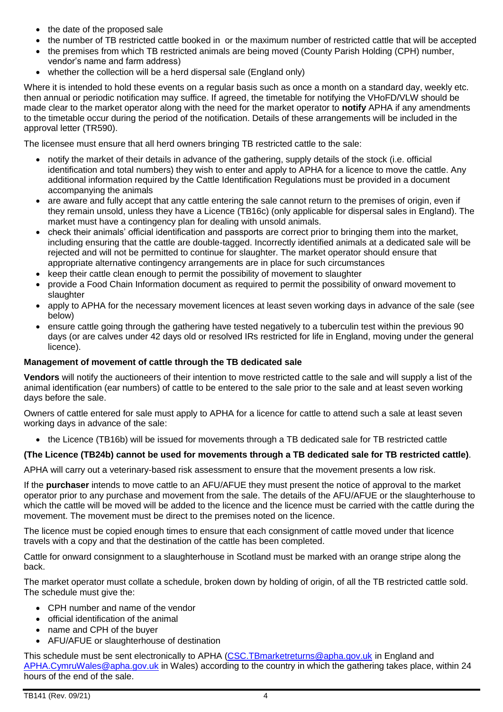- the date of the proposed sale
- the number of TB restricted cattle booked in or the maximum number of restricted cattle that will be accepted
- the premises from which TB restricted animals are being moved (County Parish Holding (CPH) number, vendor's name and farm address)
- whether the collection will be a herd dispersal sale (England only)

Where it is intended to hold these events on a regular basis such as once a month on a standard day, weekly etc. then annual or periodic notification may suffice. If agreed, the timetable for notifying the VHoFD/VLW should be made clear to the market operator along with the need for the market operator to **notify** APHA if any amendments to the timetable occur during the period of the notification. Details of these arrangements will be included in the approval letter (TR590).

The licensee must ensure that all herd owners bringing TB restricted cattle to the sale:

- notify the market of their details in advance of the gathering, supply details of the stock (i.e. official identification and total numbers) they wish to enter and apply to APHA for a licence to move the cattle. Any additional information required by the Cattle Identification Regulations must be provided in a document accompanying the animals
- are aware and fully accept that any cattle entering the sale cannot return to the premises of origin, even if they remain unsold, unless they have a Licence (TB16c) (only applicable for dispersal sales in England). The market must have a contingency plan for dealing with unsold animals.
- check their animals' official identification and passports are correct prior to bringing them into the market, including ensuring that the cattle are double-tagged. Incorrectly identified animals at a dedicated sale will be rejected and will not be permitted to continue for slaughter. The market operator should ensure that appropriate alternative contingency arrangements are in place for such circumstances
- keep their cattle clean enough to permit the possibility of movement to slaughter
- provide a Food Chain Information document as required to permit the possibility of onward movement to slaughter
- apply to APHA for the necessary movement licences at least seven working days in advance of the sale (see below)
- ensure cattle going through the gathering have tested negatively to a tuberculin test within the previous 90 days (or are calves under 42 days old or resolved IRs restricted for life in England, moving under the general licence).

# **Management of movement of cattle through the TB dedicated sale**

**Vendors** will notify the auctioneers of their intention to move restricted cattle to the sale and will supply a list of the animal identification (ear numbers) of cattle to be entered to the sale prior to the sale and at least seven working days before the sale.

Owners of cattle entered for sale must apply to APHA for a licence for cattle to attend such a sale at least seven working days in advance of the sale:

• the Licence (TB16b) will be issued for movements through a TB dedicated sale for TB restricted cattle

# **(The Licence (TB24b) cannot be used for movements through a TB dedicated sale for TB restricted cattle)**.

APHA will carry out a veterinary-based risk assessment to ensure that the movement presents a low risk.

If the **purchaser** intends to move cattle to an AFU/AFUE they must present the notice of approval to the market operator prior to any purchase and movement from the sale. The details of the AFU/AFUE or the slaughterhouse to which the cattle will be moved will be added to the licence and the licence must be carried with the cattle during the movement. The movement must be direct to the premises noted on the licence.

The licence must be copied enough times to ensure that each consignment of cattle moved under that licence travels with a copy and that the destination of the cattle has been completed.

Cattle for onward consignment to a slaughterhouse in Scotland must be marked with an orange stripe along the back.

The market operator must collate a schedule, broken down by holding of origin, of all the TB restricted cattle sold. The schedule must give the:

- CPH number and name of the vendor
- $\bullet$  official identification of the animal
- name and CPH of the buyer
- AFU/AFUE or slaughterhouse of destination

This schedule must be sent electronically to APHA [\(CSC.TBmarketreturns@apha.gov.uk](mailto:CSC.TBmarketreturns@apha.gov.uk) in England and [APHA.CymruWales@apha.gov.uk](mailto:APHA.CymruWales@apha.gov.uk) in Wales) according to the country in which the gathering takes place, within 24 hours of the end of the sale.